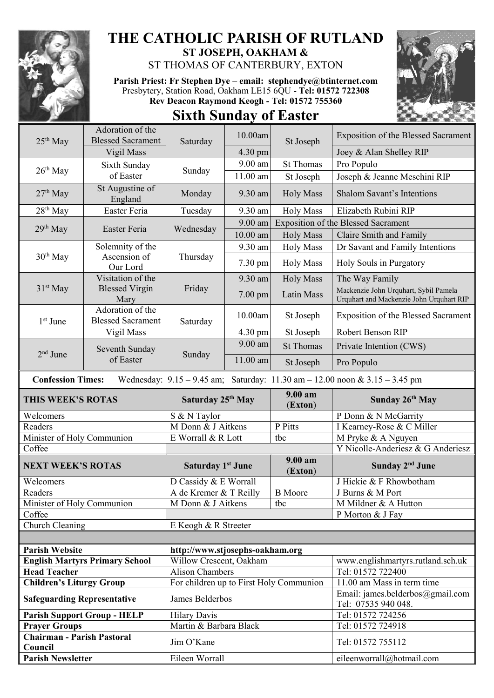

## **THE CATHOLIC PARISH OF RUTLAND ST JOSEPH, OAKHAM &**

ST THOMAS OF CANTERBURY, EXTON

**Parish Priest: Fr Stephen Dye** – **[email: stephendye@btinternet.com](mailto:email:%20%20stephendye@btinternet.com)** Presbytery, Station Road, Oakham LE15 6QU - **Tel: 01572 722308 Rev Deacon Raymond Keogh - Tel: 01572 755360**



## **Sixth Sunday of Easter**

| $25th$ May                                                                                                      | Adoration of the<br><b>Blessed Sacrament</b> | Saturday                                | 10.00am           | St Joseph                      | <b>Exposition of the Blessed Sacrament</b>                                        |  |  |  |
|-----------------------------------------------------------------------------------------------------------------|----------------------------------------------|-----------------------------------------|-------------------|--------------------------------|-----------------------------------------------------------------------------------|--|--|--|
|                                                                                                                 | Vigil Mass                                   |                                         | $4.30 \text{ pm}$ |                                | Joey & Alan Shelley RIP                                                           |  |  |  |
| $26th$ May                                                                                                      | Sixth Sunday                                 |                                         | $9.00$ am         | <b>St Thomas</b>               | Pro Populo                                                                        |  |  |  |
|                                                                                                                 | of Easter                                    | Sunday                                  | 11.00 am          | St Joseph                      | Joseph & Jeanne Meschini RIP                                                      |  |  |  |
| $27th$ May                                                                                                      | St Augustine of<br>England                   | Monday                                  | 9.30 am           | <b>Holy Mass</b>               | <b>Shalom Savant's Intentions</b>                                                 |  |  |  |
| 28 <sup>th</sup> May                                                                                            | Easter Feria                                 | Tuesday                                 | 9.30 am           | <b>Holy Mass</b>               | Elizabeth Rubini RIP                                                              |  |  |  |
| $29th$ May                                                                                                      | Easter Feria                                 | Wednesday                               | 9.00 am           |                                | <b>Exposition of the Blessed Sacrament</b>                                        |  |  |  |
|                                                                                                                 |                                              |                                         | $10.00$ am        | <b>Holy Mass</b>               | Claire Smith and Family                                                           |  |  |  |
| 30 <sup>th</sup> May                                                                                            | Solemnity of the                             | Thursday                                | 9.30 am           | <b>Holy Mass</b>               | Dr Savant and Family Intentions                                                   |  |  |  |
|                                                                                                                 | Ascension of<br>Our Lord                     |                                         | 7.30 pm           | <b>Holy Mass</b>               | Holy Souls in Purgatory                                                           |  |  |  |
|                                                                                                                 | Visitation of the                            | Friday                                  | 9.30 am           | <b>Holy Mass</b>               | The Way Family                                                                    |  |  |  |
| 31 <sup>st</sup> May                                                                                            | <b>Blessed Virgin</b><br>Mary                |                                         | 7.00 pm           | Latin Mass                     | Mackenzie John Urquhart, Sybil Pamela<br>Urquhart and Mackenzie John Urquhart RIP |  |  |  |
| $1st$ June                                                                                                      | Adoration of the<br><b>Blessed Sacrament</b> | Saturday                                | 10.00am           | St Joseph                      | <b>Exposition of the Blessed Sacrament</b>                                        |  |  |  |
|                                                                                                                 | Vigil Mass                                   |                                         | 4.30 pm           | St Joseph                      | Robert Benson RIP                                                                 |  |  |  |
| $2nd$ June                                                                                                      | Seventh Sunday<br>of Easter                  | Sunday                                  | $9.00$ am         | <b>St Thomas</b>               | Private Intention (CWS)                                                           |  |  |  |
|                                                                                                                 |                                              |                                         | 11.00 am          | St Joseph                      | Pro Populo                                                                        |  |  |  |
| Wednesday: $9.15 - 9.45$ am; Saturday: $11.30$ am $- 12.00$ noon & $3.15 - 3.45$ pm<br><b>Confession Times:</b> |                                              |                                         |                   |                                |                                                                                   |  |  |  |
| <b>THIS WEEK'S ROTAS</b>                                                                                        |                                              | Saturday 25 <sup>th</sup> May           |                   |                                |                                                                                   |  |  |  |
|                                                                                                                 |                                              |                                         |                   | 9.00 am                        | Sunday 26th May                                                                   |  |  |  |
| Welcomers                                                                                                       |                                              | S & N Taylor                            |                   | (Exton)                        | P Donn & N McGarrity                                                              |  |  |  |
| Readers                                                                                                         |                                              | M Donn & J Aitkens                      |                   | P Pitts                        | I Kearney-Rose & C Miller                                                         |  |  |  |
| Minister of Holy Communion                                                                                      |                                              | E Worrall & R Lott                      |                   | tbc                            | M Pryke & A Nguyen                                                                |  |  |  |
| Coffee                                                                                                          |                                              |                                         |                   |                                | Y Nicolle-Anderiesz & G Anderiesz                                                 |  |  |  |
| <b>NEXT WEEK'S ROTAS</b>                                                                                        |                                              | Saturday 1 <sup>st</sup> June           |                   | 9.00 a <sub>m</sub><br>(Exton) | Sunday 2 <sup>nd</sup> June                                                       |  |  |  |
| Welcomers                                                                                                       |                                              | D Cassidy & E Worrall                   |                   |                                | J Hickie & F Rhowbotham                                                           |  |  |  |
| Readers                                                                                                         |                                              | A de Kremer & T Reilly                  |                   | <b>B</b> Moore                 | J Burns & M Port                                                                  |  |  |  |
| Minister of Holy Communion                                                                                      |                                              | M Donn & J Aitkens                      |                   | tbc                            | M Mildner & A Hutton                                                              |  |  |  |
| Coffee                                                                                                          |                                              |                                         |                   |                                | P Morton & J Fay                                                                  |  |  |  |
| Church Cleaning                                                                                                 |                                              | E Keogh & R Streeter                    |                   |                                |                                                                                   |  |  |  |
|                                                                                                                 |                                              |                                         |                   |                                |                                                                                   |  |  |  |
| <b>Parish Website</b>                                                                                           |                                              | http://www.stjosephs-oakham.org         |                   |                                |                                                                                   |  |  |  |
|                                                                                                                 | <b>English Martyrs Primary School</b>        | Willow Crescent, Oakham                 |                   |                                | www.englishmartyrs.rutland.sch.uk                                                 |  |  |  |
| <b>Head Teacher</b>                                                                                             |                                              | <b>Alison Chambers</b>                  |                   |                                | Tel: 01572 722400                                                                 |  |  |  |
| <b>Children's Liturgy Group</b>                                                                                 |                                              | For children up to First Holy Communion |                   |                                | 11.00 am Mass in term time                                                        |  |  |  |
| <b>Safeguarding Representative</b>                                                                              |                                              | James Belderbos                         |                   |                                | Email: james.belderbos@gmail.com<br>Tel: 07535 940 048.                           |  |  |  |
|                                                                                                                 | <b>Parish Support Group - HELP</b>           | <b>Hilary Davis</b>                     |                   |                                | Tel: 01572 724256                                                                 |  |  |  |
| <b>Prayer Groups</b>                                                                                            |                                              | Martin & Barbara Black                  |                   |                                | Tel: 01572 724918                                                                 |  |  |  |
| <b>Chairman - Parish Pastoral</b><br>Council                                                                    |                                              | Jim O'Kane                              |                   |                                | Tel: 01572 755112                                                                 |  |  |  |